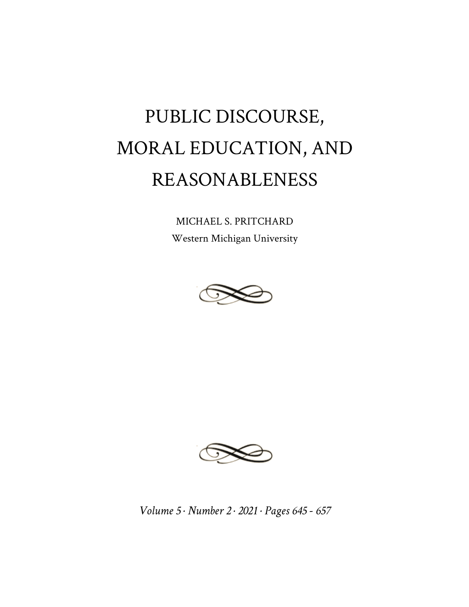## PUBLIC DISCOURSE, MORAL EDUCATION, AND REASONABLENESS

MICHAEL S. PRITCHARD Western Michigan University





*Volume 5 · Number 2 · 2021 · Pages 645 - 657*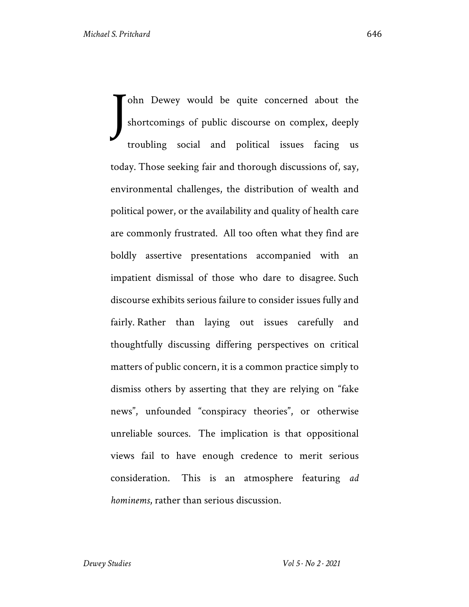ohn Dewey would be quite concerned about the shortcomings of public discourse on complex, deeply troubling social and political issues facing us today. Those seeking fair and thorough discussions of, say, environmental challenges, the distribution of wealth and political power, or the availability and quality of health care are commonly frustrated. All too often what they find are boldly assertive presentations accompanied with an impatient dismissal of those who dare to disagree. Such discourse exhibits serious failure to consider issues fully and fairly. Rather than laying out issues carefully and thoughtfully discussing differing perspectives on critical matters of public concern, it is a common practice simply to dismiss others by asserting that they are relying on "fake news", unfounded "conspiracy theories", or otherwise unreliable sources. The implication is that oppositional views fail to have enough credence to merit serious consideration. This is an atmosphere featuring *ad hominems*, rather than serious discussion. J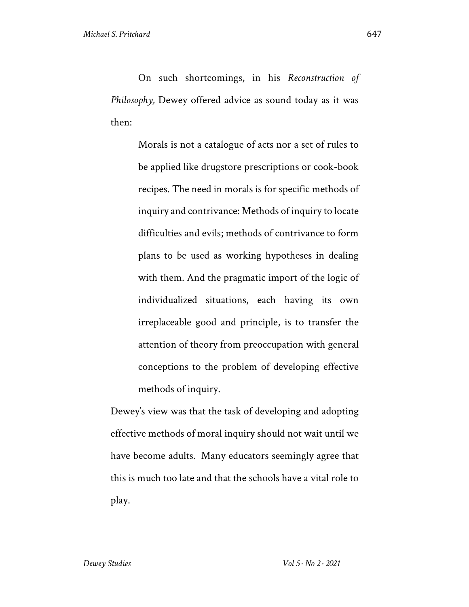On such shortcomings, in his *Reconstruction of Philosophy,* Dewey offered advice as sound today as it was then:

> Morals is not a catalogue of acts nor a set of rules to be applied like drugstore prescriptions or cook-book recipes. The need in morals is for specific methods of inquiry and contrivance: Methods of inquiry to locate difficulties and evils; methods of contrivance to form plans to be used as working hypotheses in dealing with them. And the pragmatic import of the logic of individualized situations, each having its own irreplaceable good and principle, is to transfer the attention of theory from preoccupation with general conceptions to the problem of developing effective methods of inquiry.

Dewey's view was that the task of developing and adopting effective methods of moral inquiry should not wait until we have become adults. Many educators seemingly agree that this is much too late and that the schools have a vital role to play.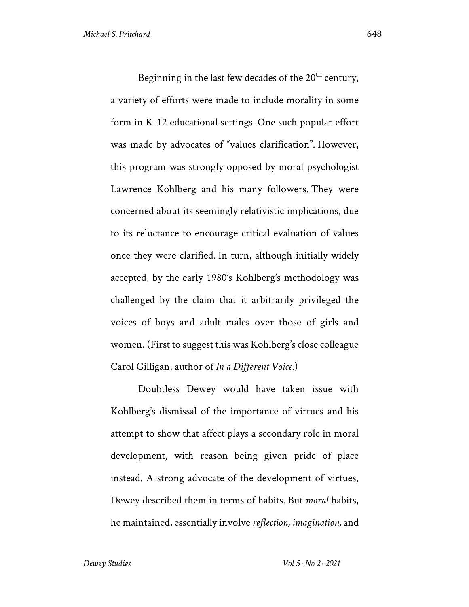Beginning in the last few decades of the  $20<sup>th</sup>$  century, a variety of efforts were made to include morality in some form in K-12 educational settings. One such popular effort was made by advocates of "values clarification". However, this program was strongly opposed by moral psychologist Lawrence Kohlberg and his many followers. They were concerned about its seemingly relativistic implications, due to its reluctance to encourage critical evaluation of values once they were clarified. In turn, although initially widely accepted, by the early 1980's Kohlberg's methodology was challenged by the claim that it arbitrarily privileged the voices of boys and adult males over those of girls and women. (First to suggest this was Kohlberg's close colleague Carol Gilligan, author of *In a Different Voice*.)

Doubtless Dewey would have taken issue with Kohlberg's dismissal of the importance of virtues and his attempt to show that affect plays a secondary role in moral development, with reason being given pride of place instead. A strong advocate of the development of virtues, Dewey described them in terms of habits. But *moral* habits, he maintained, essentially involve *reflection, imagination,* and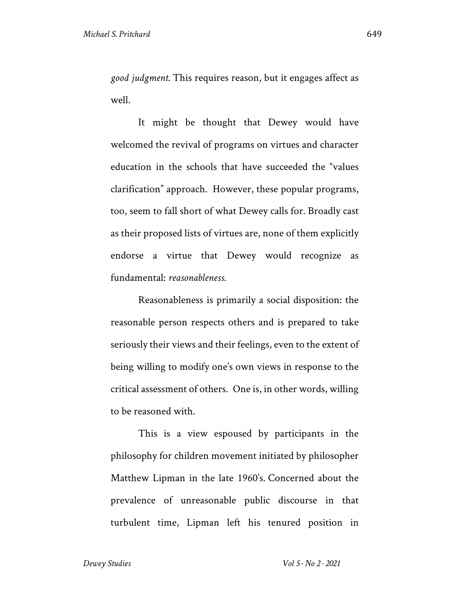*good judgment*. This requires reason, but it engages affect as well.

It might be thought that Dewey would have welcomed the revival of programs on virtues and character education in the schools that have succeeded the "values clarification" approach. However, these popular programs, too, seem to fall short of what Dewey calls for. Broadly cast as their proposed lists of virtues are, none of them explicitly endorse a virtue that Dewey would recognize as fundamental: *reasonableness*.

Reasonableness is primarily a social disposition: the reasonable person respects others and is prepared to take seriously their views and their feelings, even to the extent of being willing to modify one's own views in response to the critical assessment of others. One is, in other words, willing to be reasoned with.

This is a view espoused by participants in the philosophy for children movement initiated by philosopher Matthew Lipman in the late 1960's. Concerned about the prevalence of unreasonable public discourse in that turbulent time, Lipman left his tenured position in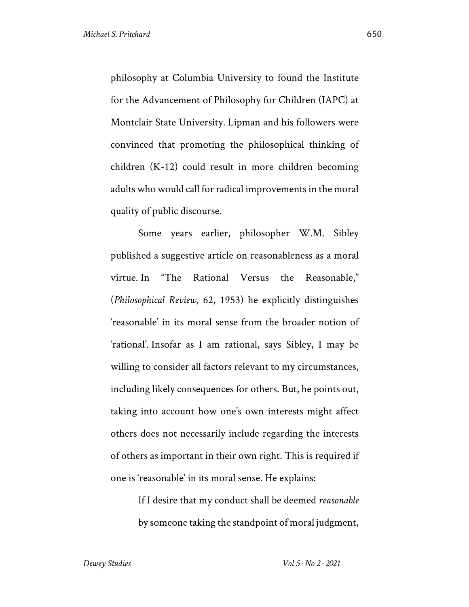philosophy at Columbia University to found the Institute for the Advancement of Philosophy for Children (IAPC) at Montclair State University. Lipman and his followers were convinced that promoting the philosophical thinking of children (K-12) could result in more children becoming adults who would call for radical improvements in the moral quality of public discourse.

Some years earlier, philosopher W.M. Sibley published a suggestive article on reasonableness as a moral virtue. In "The Rational Versus the Reasonable," (*Philosophical Review*, 62, 1953) he explicitly distinguishes 'reasonable' in its moral sense from the broader notion of 'rational'. Insofar as I am rational, says Sibley, I may be willing to consider all factors relevant to my circumstances, including likely consequences for others. But, he points out, taking into account how one's own interests might affect others does not necessarily include regarding the interests of others as important in their own right. This is required if one is 'reasonable' in its moral sense. He explains:

> If I desire that my conduct shall be deemed *reasonable*  by someone taking the standpoint of moral judgment,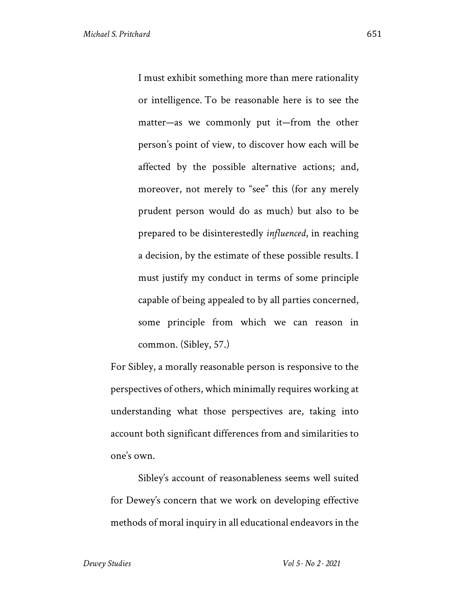I must exhibit something more than mere rationality or intelligence. To be reasonable here is to see the matter—as we commonly put it—from the other person's point of view, to discover how each will be affected by the possible alternative actions; and, moreover, not merely to "see" this (for any merely prudent person would do as much) but also to be prepared to be disinterestedly *influenced*, in reaching a decision, by the estimate of these possible results*.* I must justify my conduct in terms of some principle capable of being appealed to by all parties concerned, some principle from which we can reason in common. (Sibley, 57.)

For Sibley, a morally reasonable person is responsive to the perspectives of others, which minimally requires working at understanding what those perspectives are, taking into account both significant differences from and similarities to one's own.

Sibley's account of reasonableness seems well suited for Dewey's concern that we work on developing effective methods of moral inquiry in all educational endeavors in the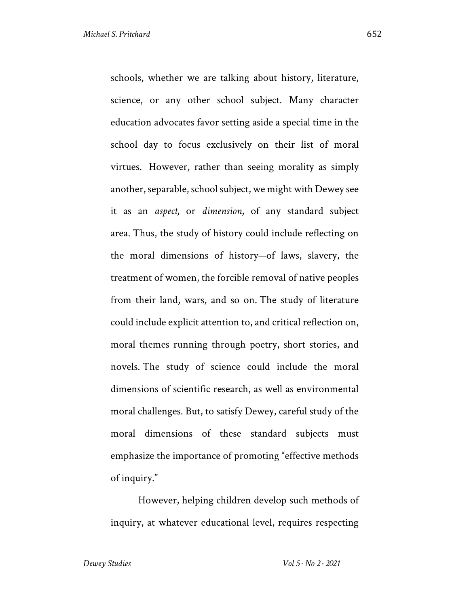schools, whether we are talking about history, literature, science, or any other school subject. Many character education advocates favor setting aside a special time in the school day to focus exclusively on their list of moral virtues. However, rather than seeing morality as simply another, separable, school subject, we might with Dewey see it as an *aspect*, or *dimension*, of any standard subject area. Thus, the study of history could include reflecting on the moral dimensions of history—of laws, slavery, the treatment of women, the forcible removal of native peoples from their land, wars, and so on. The study of literature could include explicit attention to, and critical reflection on, moral themes running through poetry, short stories, and novels. The study of science could include the moral dimensions of scientific research, as well as environmental moral challenges. But, to satisfy Dewey, careful study of the moral dimensions of these standard subjects must emphasize the importance of promoting "effective methods of inquiry."

However, helping children develop such methods of inquiry, at whatever educational level, requires respecting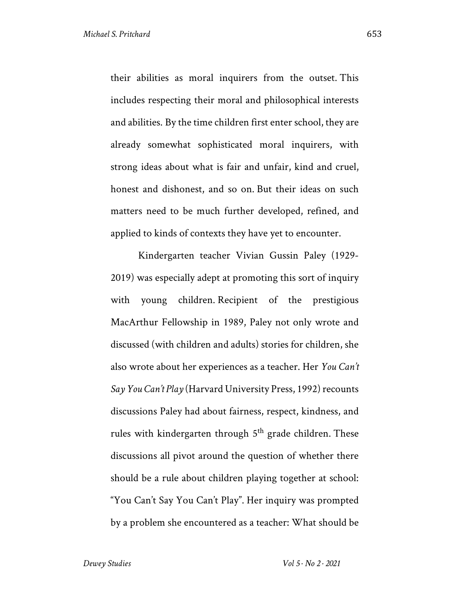their abilities as moral inquirers from the outset. This includes respecting their moral and philosophical interests and abilities. By the time children first enter school, they are already somewhat sophisticated moral inquirers, with strong ideas about what is fair and unfair, kind and cruel, honest and dishonest, and so on. But their ideas on such matters need to be much further developed, refined, and applied to kinds of contexts they have yet to encounter.

Kindergarten teacher Vivian Gussin Paley (1929- 2019) was especially adept at promoting this sort of inquiry with young children. Recipient of the prestigious MacArthur Fellowship in 1989, Paley not only wrote and discussed (with children and adults) stories for children, she also wrote about her experiences as a teacher. Her *You Can't Say You Can't Play* (Harvard University Press, 1992) recounts discussions Paley had about fairness, respect, kindness, and rules with kindergarten through  $5<sup>th</sup>$  grade children. These discussions all pivot around the question of whether there should be a rule about children playing together at school: "You Can't Say You Can't Play". Her inquiry was prompted by a problem she encountered as a teacher: What should be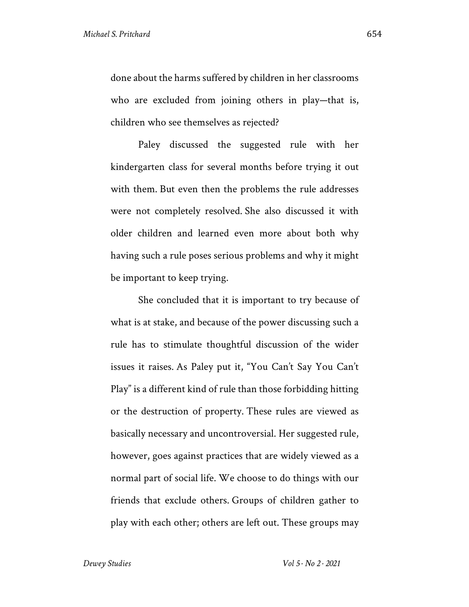done about the harms suffered by children in her classrooms who are excluded from joining others in play—that is, children who see themselves as rejected?

Paley discussed the suggested rule with her kindergarten class for several months before trying it out with them. But even then the problems the rule addresses were not completely resolved. She also discussed it with older children and learned even more about both why having such a rule poses serious problems and why it might be important to keep trying.

She concluded that it is important to try because of what is at stake, and because of the power discussing such a rule has to stimulate thoughtful discussion of the wider issues it raises. As Paley put it, "You Can't Say You Can't Play" is a different kind of rule than those forbidding hitting or the destruction of property. These rules are viewed as basically necessary and uncontroversial. Her suggested rule, however, goes against practices that are widely viewed as a normal part of social life. We choose to do things with our friends that exclude others. Groups of children gather to play with each other; others are left out. These groups may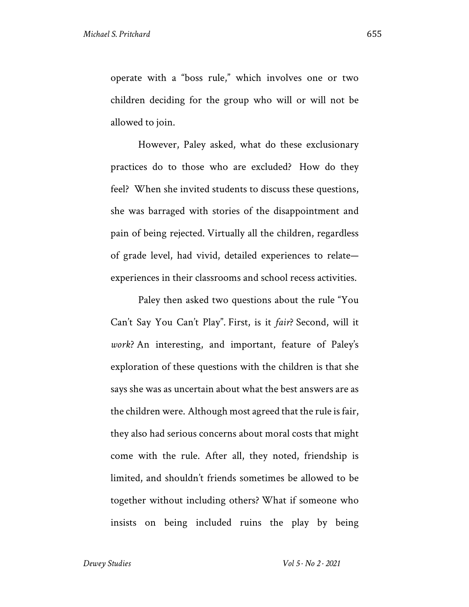operate with a "boss rule," which involves one or two children deciding for the group who will or will not be allowed to join.

However, Paley asked, what do these exclusionary practices do to those who are excluded? How do they feel? When she invited students to discuss these questions, she was barraged with stories of the disappointment and pain of being rejected. Virtually all the children, regardless of grade level, had vivid, detailed experiences to relate experiences in their classrooms and school recess activities.

Paley then asked two questions about the rule "You Can't Say You Can't Play". First, is it *fair*? Second, will it *work*? An interesting, and important, feature of Paley's exploration of these questions with the children is that she says she was as uncertain about what the best answers are as the children were. Although most agreed that the rule is fair, they also had serious concerns about moral costs that might come with the rule. After all, they noted, friendship is limited, and shouldn't friends sometimes be allowed to be together without including others? What if someone who insists on being included ruins the play by being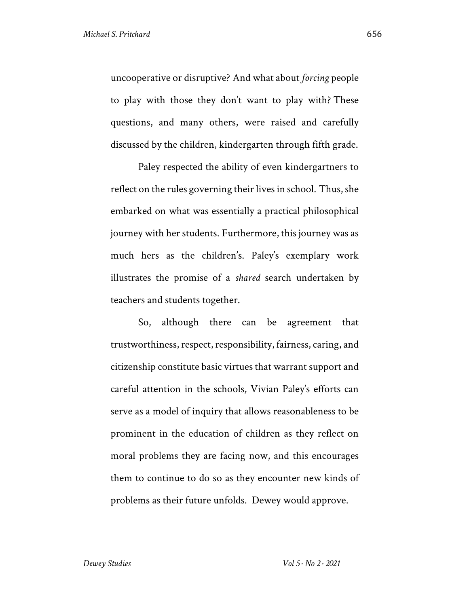uncooperative or disruptive? And what about *forcing* people to play with those they don't want to play with? These questions, and many others, were raised and carefully discussed by the children, kindergarten through fifth grade.

Paley respected the ability of even kindergartners to reflect on the rules governing their lives in school. Thus, she embarked on what was essentially a practical philosophical journey with her students. Furthermore, this journey was as much hers as the children's. Paley's exemplary work illustrates the promise of a *shared* search undertaken by teachers and students together.

So, although there can be agreement that trustworthiness, respect, responsibility, fairness, caring, and citizenship constitute basic virtues that warrant support and careful attention in the schools, Vivian Paley's efforts can serve as a model of inquiry that allows reasonableness to be prominent in the education of children as they reflect on moral problems they are facing now, and this encourages them to continue to do so as they encounter new kinds of problems as their future unfolds. Dewey would approve.